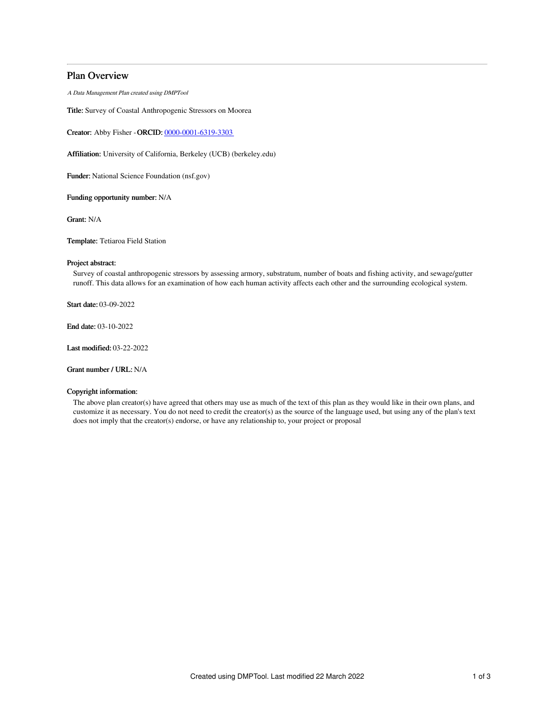# Plan Overview

A Data Management Plan created using DMPTool

Title: Survey of Coastal Anthropogenic Stressors on Moorea

Creator: Abby Fisher -ORCID: [0000-0001-6319-3303](https://orcid.org/0000-0001-6319-3303)

Affiliation: University of California, Berkeley (UCB) (berkeley.edu)

Funder: National Science Foundation (nsf.gov)

Funding opportunity number: N/A

Grant: N/A

Template: Tetiaroa Field Station

# Project abstract:

Survey of coastal anthropogenic stressors by assessing armory, substratum, number of boats and fishing activity, and sewage/gutter runoff. This data allows for an examination of how each human activity affects each other and the surrounding ecological system.

Start date: 03-09-2022

End date: 03-10-2022

Last modified: 03-22-2022

Grant number / URL: N/A

## Copyright information:

The above plan creator(s) have agreed that others may use as much of the text of this plan as they would like in their own plans, and customize it as necessary. You do not need to credit the creator(s) as the source of the language used, but using any of the plan's text does not imply that the creator(s) endorse, or have any relationship to, your project or proposal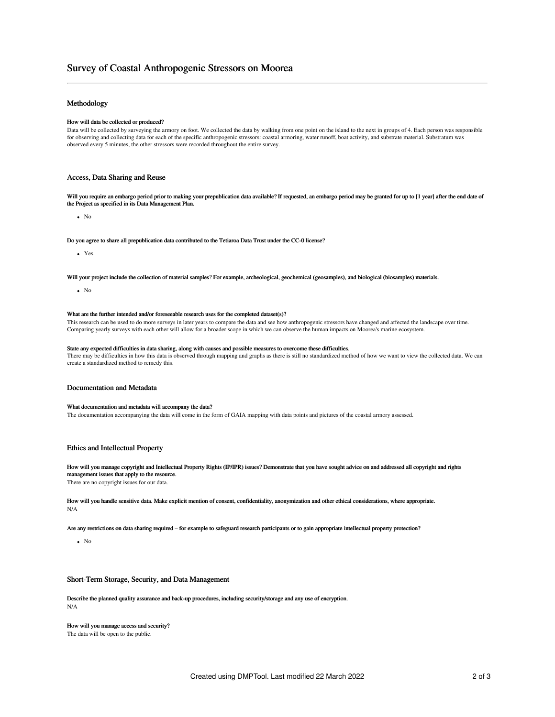# Survey of Coastal Anthropogenic Stressors on Moorea

# Methodology

#### How will data be collected or produced?

Data will be collected by surveying the armory on foot. We collected the data by walking from one point on the island to the next in groups of 4. Each person was responsible for observing and collecting data for each of the specific anthropogenic stressors: coastal armoring, water runoff, boat activity, and substrate material. Substratum was observed every 5 minutes, the other stressors were recorded throughout the entire survey.

## Access, Data Sharing and Reuse

Will you require an embargo period prior to making your prepublication data available? If requested, an embargo period may be granted for up to [1 year] after the end date of the Project as specified in its Data Management Plan.

 $\bullet$  No

Do you agree to share all prepublication data contributed to the Tetiaroa Data Trust under the CC-0 license?

Yes

Will your project include the collection of material samples? For example, archeological, geochemical (geosamples), and biological (biosamples) materials.

 $\bullet$  No

#### What are the further intended and/or foreseeable research uses for the completed dataset(s)?

This research can be used to do more surveys in later years to compare the data and see how anthropogenic stressors have changed and affected the landscape over time. Comparing yearly surveys with each other will allow for a broader scope in which we can observe the human impacts on Moorea's marine ecosystem.

#### State any expected difficulties in data sharing, along with causes and possible measures to overcome these difficulties. There may be difficulties in how this data is observed through mapping and graphs as there is still no standardized method of how we want to view the collected data. We can create a standardized method to remedy this.

### Documentation and Metadata

#### What documentation and metadata will accompany the data?

The documentation accompanying the data will come in the form of GAIA mapping with data points and pictures of the coastal armory assessed.

## Ethics and Intellectual Property

How will you manage copyright and Intellectual Property Rights (IP/IPR) issues? Demonstrate that you have sought advice on and addressed all copyright and rights management issues that apply to the resource.

There are no copyright issues for our data.

How will you handle sensitive data. Make explicit mention of consent, confidentiality, anonymization and other ethical considerations, where appropriate. N/A

Are any restrictions on data sharing required – for example to safeguard research participants or to gain appropriate intellectual property protection?

 $\bullet$  No

#### Short-Term Storage, Security, and Data Management

Describe the planned quality assurance and back-up procedures, including security/storage and any use of encryption. N/A

## How will you manage access and security?

The data will be open to the public.